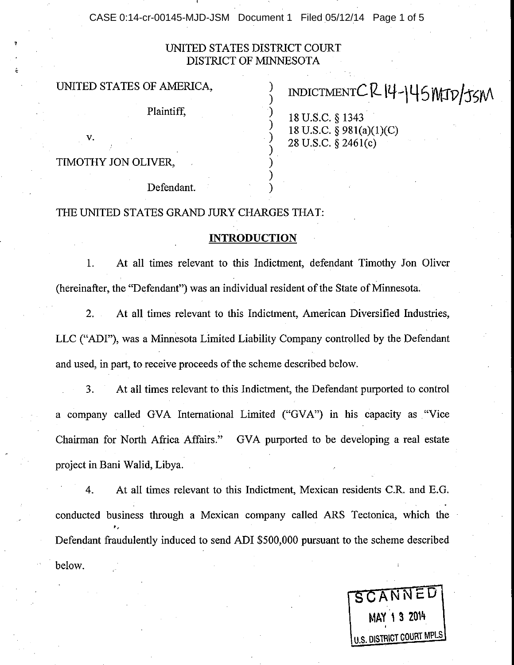CASE 0:14-cr-00145-MJD-JSM Document 1 Filed 05/12/14 Page 1 of 5

#### UNITED STATES DISTRICT COURT DISTRICT OF MINNESOTA

) ) ) ) ) )

#### UNITED STATES OF AMERICA,

Plaintiff,

# INDICTMENTCR14-145NATD/JSM

18 U.S.C. \$ 1343 18 U.S.C.  $\S$  981(a)(1)(C) 28 U.S.c. \$ 2a6l(c)

TIMOTHY JON OLIVER,

Defendant.

#### THE UNITED STATES GRAND JURY CHARGES THAT:

#### INTRODUCTION

1. At all times relevant to this Indictment, defendant Timothy Jon Oliver (hereinafter, the "Defendant") was an individual resident of the State of Minnesota.

2. At all times relevant to this Indictment, American Diversified Industries, LLC ("ADI"), was a Minnesota Limited Liability Company controlled by the Defendant and used, in part, to receive proceeds of the scheme described below.

3. At all times relevant to this Indictment, the Defendant purported to control a company called GVA International Limited ("GVA") in his capacity as "Vice Chairman for North Africa Affairs." GVA purported to be developing a real estate project in Bani Walid, Libya.

below. 4. At all times relevant to this Indictment, Mexican residents C.R. and E.G. conducted business through a Mexican company called ARS Tectonica, which the Defendant fraudulently induced to send ADI \$500,000 pursuant to the scheme described

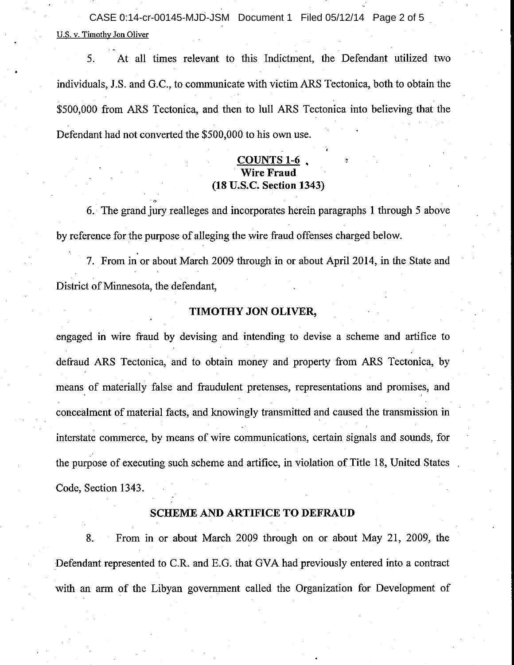U.S. v. Timothy Jon Oliver CASE 0:14-cr-00145-MJD-JSM Document 1 Filed 05/12/14 Page 2 of 5

5. At all times relevant to this Indictment. the Defendant utilized two individuals, J.S. and G.C., to communicate with victim ARS Tectonica, both to obtain the \$500,000 from ARS Tectonica, and then to lull ARS Tectonica into believing that the Defendant had not converted the \$500,000 to his own use.

## COUNTS 1-6<br>Wire Fraud (18 U.S.C. Section 1343)

6. The grand jury realleges and incorporates herein paragraphs I through 5 above by reference for the purpose of alleging the wire fraud offenses charged below.

7. From in or about March 2009 through in or about April 2014, in the State and District of Minnesota, the defendant,

#### TIMOTHY JON OLIVER,

engaged in wire fraud by devising and intending to devise a scherne and artifice to defraud ARS Tectonica, and to obtain money and property from ARS Tectonica, by means of materially false and fraudulent pretenses, representations and promises, and concealment of material facts, and knowingly transmitted and caused the transmission in interstate commerce, by means of wire communications, certain signals and sounds, for the purpose of executing such scheme and artifice, in violation of Title 18, United States Code, Section 1343.

#### SCHEME AND ARTIFICE TO DEFRAUD

8. From in or about March 2009 through on or about May 21, 2009, the Defendant represented to C.R. and E.G. that GVA had previously entered into a contract with an arm of the Libyan govemment called the Organization for Development of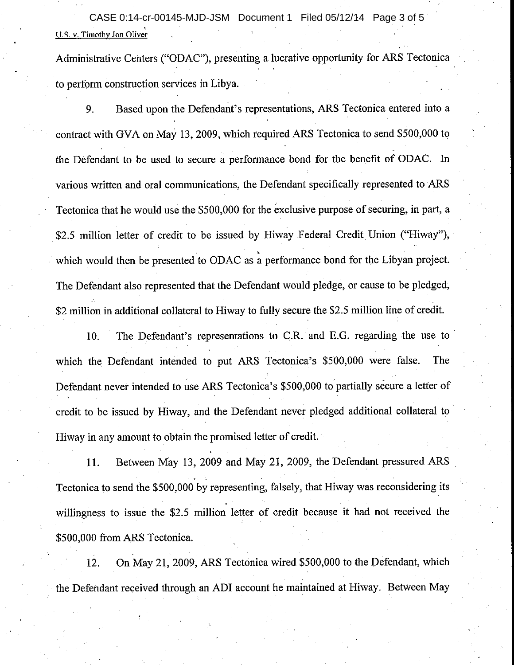U.S. v. Timothy Jon Oliver CASE 0:14-cr-00145-MJD-JSM Document 1 Filed 05/12/14 Page 3 of 5

Administrative Centers ("ODAC"), presenting a lucrative opportunity for ARS Tectonica to perform construction services in Libya.

9. Based upon the Defendant's representations, ARS Tectonica entered into <sup>a</sup> contract with GVA on May 13, 2009, which required ARS Tectonica to send \$500,000 to the Defendant to be used to secure a performance bond for the benefit of ODAC. In various written and oral communications, the Defendant specifically represented to ARS Tectonica that he would use the \$500,000 for the exclusive purpose of securing, in part, a \$2.5 million letter of credit to be issued by Hiway Federal Credit Union ("Hiway"), which would then be presented to ODAC as a performance bond for the Libyan project. The Defendant also represented that the Defendant would pledge, or cause to be pledged, \$2 million in additional collateral to Hiway to fully secure the \$2.5 million line of credit.

10. The Defendant's representations to C.R. and E.G. regarding the use to which the Defendant intended to put ARS Tectonica's \$500,000 were false. The Defendant never intended to use ARS Tectonica's \$500,000 to partially secure a letter of credit to be issued by Hiway, and the Defendant never pledged additional collateral to Hiway in any amount to obtain the promised letter of credit.

ll. Between May 13, 2009 and May 27,2009, the Defendant pressured ARS Tectonica to send the \$500,000 by representing, falsely, that Hiway was reconsidering its willingness to issue the \$2.5 million letter of credit because it had not received the \$500,000 from ARS Tectonica.

12. On May 21,2O0g,ARS Tectonica wired \$500,000 to the Defendant, which the Defendant received through an ADI account he maintained at Hiway. Between May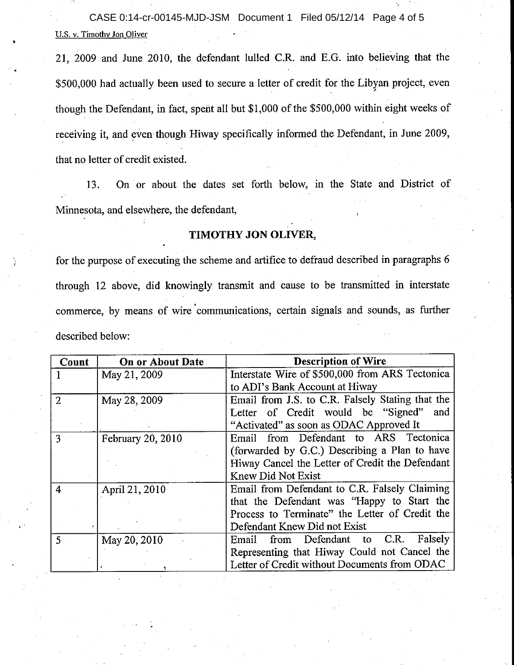U.S. v. Timothy Jon Oliver CASE 0:14-cr-00145-MJD-JSM Document 1 Filed 05/12/14 Page 4 of 5

21, 2009 and June 2010, the defendant lulled C.R. and E.G. into believing that the \$500,000 had actually been used to secure a letter of credit for the Libyan project, even though the Defendant, in fact, spent all but \$1,000 of the \$500,000 within eight weeks of receiving it, and even though Hiway specifically informed the Defendant, in June 2009, that no letter of credit existed.

13. On or about the dates set forth below, in the State and District of Minnesota, and elsewhere, the defendant,

#### TIMOTHY JON OLIVER,

for the purpose of executing the scheme and artifice to defraud described in paragraphs 6 through 12 above, did knowingly transmit and cause to be transmitted in interstate commerce, by means of wire communications, certain signals and sounds, as further described below:

| Count | <b>On or About Date</b> | <b>Description of Wire</b>                       |
|-------|-------------------------|--------------------------------------------------|
|       | May 21, 2009            | Interstate Wire of \$500,000 from ARS Tectonica  |
|       |                         | to ADI's Bank Account at Hiway                   |
| 2     | May 28, 2009            | Email from J.S. to C.R. Falsely Stating that the |
|       |                         | Letter of Credit would be "Signed" and           |
|       |                         | "Activated" as soon as ODAC Approved It          |
| 3     | February 20, 2010       | Email from Defendant to ARS Tectonica            |
|       |                         | (forwarded by G.C.) Describing a Plan to have    |
|       |                         | Hiway Cancel the Letter of Credit the Defendant  |
|       |                         | <b>Knew Did Not Exist</b>                        |
| 4     | April 21, 2010          | Email from Defendant to C.R. Falsely Claiming    |
|       |                         | that the Defendant was "Happy to Start the       |
|       |                         | Process to Terminate" the Letter of Credit the   |
|       |                         | Defendant Knew Did not Exist                     |
| 5.    | May 20, 2010            | from Defendant to C.R.<br>Falsely<br>Email       |
|       |                         | Representing that Hiway Could not Cancel the     |
|       |                         | Letter of Credit without Documents from ODAC     |